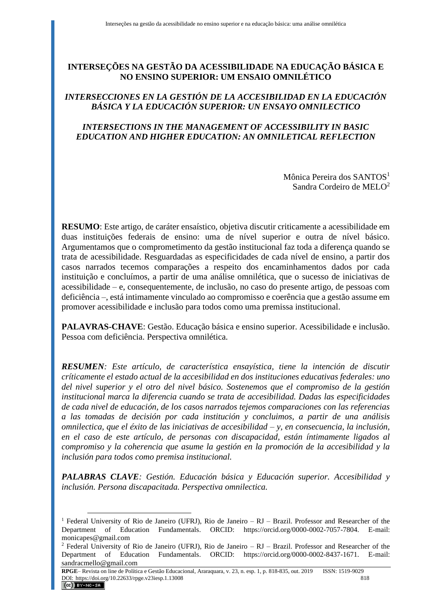# **INTERSEÇÕES NA GESTÃO DA ACESSIBILIDADE NA EDUCAÇÃO BÁSICA E NO ENSINO SUPERIOR: UM ENSAIO OMNILÉTICO**

# *INTERSECCIONES EN LA GESTIÓN DE LA ACCESIBILIDAD EN LA EDUCACIÓN BÁSICA Y LA EDUCACIÓN SUPERIOR: UN ENSAYO OMNILECTICO*

# *INTERSECTIONS IN THE MANAGEMENT OF ACCESSIBILITY IN BASIC EDUCATION AND HIGHER EDUCATION: AN OMNILETICAL REFLECTION*

Mônica Pereira dos SANTOS<sup>1</sup> Sandra Cordeiro de MELO<sup>2</sup>

**RESUMO**: Este artigo, de caráter ensaístico, objetiva discutir criticamente a acessibilidade em duas instituições federais de ensino: uma de nível superior e outra de nível básico. Argumentamos que o comprometimento da gestão institucional faz toda a diferença quando se trata de acessibilidade. Resguardadas as especificidades de cada nível de ensino, a partir dos casos narrados tecemos comparações a respeito dos encaminhamentos dados por cada instituição e concluímos, a partir de uma análise omnilética, que o sucesso de iniciativas de acessibilidade – e, consequentemente, de inclusão, no caso do presente artigo, de pessoas com deficiência –, está intimamente vinculado ao compromisso e coerência que a gestão assume em promover acessibilidade e inclusão para todos como uma premissa institucional.

**PALAVRAS-CHAVE**: Gestão. Educação básica e ensino superior. Acessibilidade e inclusão. Pessoa com deficiência. Perspectiva omnilética.

*RESUMEN: Este artículo, de característica ensayística, tiene la intención de discutir críticamente el estado actual de la accesibilidad en dos instituciones educativas federales: uno del nivel superior y el otro del nivel básico. Sostenemos que el compromiso de la gestión institucional marca la diferencia cuando se trata de accesibilidad. Dadas las especificidades de cada nivel de educación, de los casos narrados tejemos comparaciones con las referencias a las tomadas de decisión por cada institución y concluimos, a partir de una análisis omnilectica, que el éxito de las iniciativas de accesibilidad – y, en consecuencia, la inclusión, en el caso de este artículo, de personas con discapacidad, están íntimamente ligados al compromiso y la coherencia que asume la gestión en la promoción de la accesibilidad y la inclusión para todos como premisa institucional.*

*PALABRAS CLAVE: Gestión. Educación básica y Educación superior. Accesibilidad y inclusión. Persona discapacitada. Perspectiva omnilectica.*

<sup>&</sup>lt;sup>1</sup> Federal University of Rio de Janeiro (UFRJ), Rio de Janeiro – RJ – Brazil. Professor and Researcher of the Department of Education Fundamentals. ORCID: https://orcid.org/0000-0002-7057-7804. E-mail: monicapes@gmail.com

<sup>&</sup>lt;sup>2</sup> Federal University of Rio de Janeiro (UFRJ), Rio de Janeiro – RJ – Brazil. Professor and Researcher of the Department of Education Fundamentals. ORCID: https://orcid.org/0000-0002-8437-1671. E-mail: sandracmello@gmail.com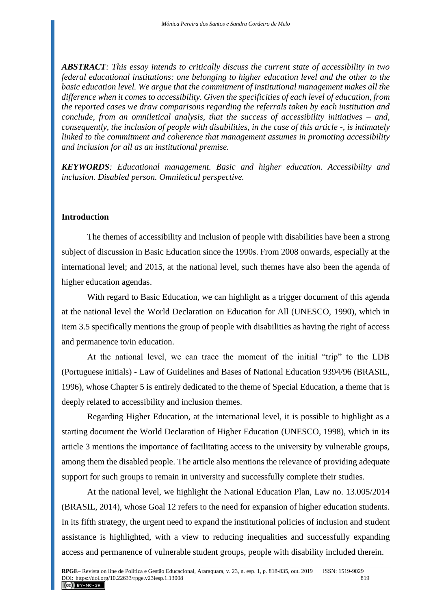*ABSTRACT: This essay intends to critically discuss the current state of accessibility in two federal educational institutions: one belonging to higher education level and the other to the basic education level. We argue that the commitment of institutional management makes all the difference when it comes to accessibility. Given the specificities of each level of education, from the reported cases we draw comparisons regarding the referrals taken by each institution and conclude, from an omniletical analysis, that the success of accessibility initiatives – and, consequently, the inclusion of people with disabilities, in the case of this article -, is intimately linked to the commitment and coherence that management assumes in promoting accessibility and inclusion for all as an institutional premise.*

*KEYWORDS: Educational management. Basic and higher education. Accessibility and inclusion. Disabled person. Omniletical perspective.*

#### **Introduction**

The themes of accessibility and inclusion of people with disabilities have been a strong subject of discussion in Basic Education since the 1990s. From 2008 onwards, especially at the international level; and 2015, at the national level, such themes have also been the agenda of higher education agendas.

With regard to Basic Education, we can highlight as a trigger document of this agenda at the national level the World Declaration on Education for All (UNESCO, 1990), which in item 3.5 specifically mentions the group of people with disabilities as having the right of access and permanence to/in education.

At the national level, we can trace the moment of the initial "trip" to the LDB (Portuguese initials) - Law of Guidelines and Bases of National Education 9394/96 (BRASIL, 1996), whose Chapter 5 is entirely dedicated to the theme of Special Education, a theme that is deeply related to accessibility and inclusion themes.

Regarding Higher Education, at the international level, it is possible to highlight as a starting document the World Declaration of Higher Education (UNESCO, 1998), which in its article 3 mentions the importance of facilitating access to the university by vulnerable groups, among them the disabled people. The article also mentions the relevance of providing adequate support for such groups to remain in university and successfully complete their studies.

At the national level, we highlight the National Education Plan, Law no. 13.005/2014 (BRASIL, 2014), whose Goal 12 refers to the need for expansion of higher education students. In its fifth strategy, the urgent need to expand the institutional policies of inclusion and student assistance is highlighted, with a view to reducing inequalities and successfully expanding access and permanence of vulnerable student groups, people with disability included therein.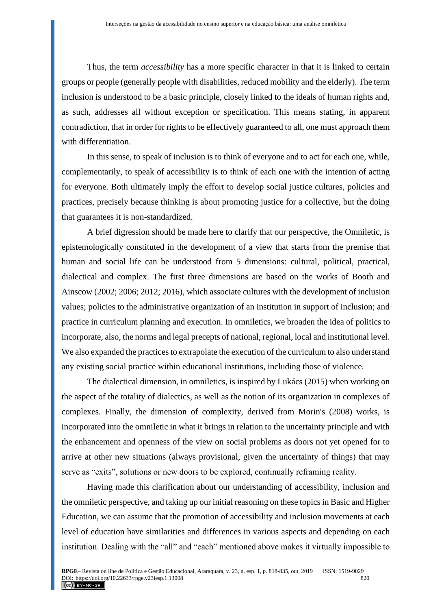Thus, the term *accessibility* has a more specific character in that it is linked to certain groups or people (generally people with disabilities, reduced mobility and the elderly). The term inclusion is understood to be a basic principle, closely linked to the ideals of human rights and, as such, addresses all without exception or specification. This means stating, in apparent contradiction, that in order for rights to be effectively guaranteed to all, one must approach them with differentiation.

In this sense, to speak of inclusion is to think of everyone and to act for each one, while, complementarily, to speak of accessibility is to think of each one with the intention of acting for everyone. Both ultimately imply the effort to develop social justice cultures, policies and practices, precisely because thinking is about promoting justice for a collective, but the doing that guarantees it is non-standardized.

A brief digression should be made here to clarify that our perspective, the Omniletic, is epistemologically constituted in the development of a view that starts from the premise that human and social life can be understood from 5 dimensions: cultural, political, practical, dialectical and complex. The first three dimensions are based on the works of Booth and Ainscow (2002; 2006; 2012; 2016), which associate cultures with the development of inclusion values; policies to the administrative organization of an institution in support of inclusion; and practice in curriculum planning and execution. In omniletics, we broaden the idea of politics to incorporate, also, the norms and legal precepts of national, regional, local and institutional level. We also expanded the practices to extrapolate the execution of the curriculum to also understand any existing social practice within educational institutions, including those of violence.

The dialectical dimension, in omniletics, is inspired by Lukács (2015) when working on the aspect of the totality of dialectics, as well as the notion of its organization in complexes of complexes. Finally, the dimension of complexity, derived from Morin's (2008) works, is incorporated into the omniletic in what it brings in relation to the uncertainty principle and with the enhancement and openness of the view on social problems as doors not yet opened for to arrive at other new situations (always provisional, given the uncertainty of things) that may serve as "exits", solutions or new doors to be explored, continually reframing reality.

Having made this clarification about our understanding of accessibility, inclusion and the omniletic perspective, and taking up our initial reasoning on these topics in Basic and Higher Education, we can assume that the promotion of accessibility and inclusion movements at each level of education have similarities and differences in various aspects and depending on each institution. Dealing with the "all" and "each" mentioned above makes it virtually impossible to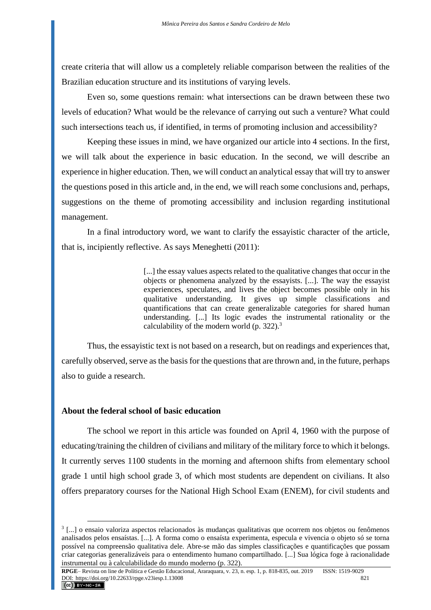create criteria that will allow us a completely reliable comparison between the realities of the Brazilian education structure and its institutions of varying levels.

Even so, some questions remain: what intersections can be drawn between these two levels of education? What would be the relevance of carrying out such a venture? What could such intersections teach us, if identified, in terms of promoting inclusion and accessibility?

Keeping these issues in mind, we have organized our article into 4 sections. In the first, we will talk about the experience in basic education. In the second, we will describe an experience in higher education. Then, we will conduct an analytical essay that will try to answer the questions posed in this article and, in the end, we will reach some conclusions and, perhaps, suggestions on the theme of promoting accessibility and inclusion regarding institutional management.

In a final introductory word, we want to clarify the essayistic character of the article, that is, incipiently reflective. As says Meneghetti (2011):

> [...] the essay values aspects related to the qualitative changes that occur in the objects or phenomena analyzed by the essayists. [...]. The way the essayist experiences, speculates, and lives the object becomes possible only in his qualitative understanding. It gives up simple classifications and quantifications that can create generalizable categories for shared human understanding. [...] Its logic evades the instrumental rationality or the calculability of the modern world (p. 322).<sup>3</sup>

Thus, the essayistic text is not based on a research, but on readings and experiences that, carefully observed, serve as the basis for the questions that are thrown and, in the future, perhaps also to guide a research.

## **About the federal school of basic education**

The school we report in this article was founded on April 4, 1960 with the purpose of educating/training the children of civilians and military of the military force to which it belongs. It currently serves 1100 students in the morning and afternoon shifts from elementary school grade 1 until high school grade 3, of which most students are dependent on civilians. It also offers preparatory courses for the National High School Exam (ENEM), for civil students and

<sup>3</sup> [...] o ensaio valoriza aspectos relacionados às mudanças qualitativas que ocorrem nos objetos ou fenômenos analisados pelos ensaístas. [...]. A forma como o ensaísta experimenta, especula e vivencia o objeto só se torna possível na compreensão qualitativa dele. Abre-se mão das simples classificações e quantificações que possam criar categorias generalizáveis para o entendimento humano compartilhado. [...] Sua lógica foge à racionalidade instrumental ou à calculabilidade do mundo moderno (p. 322).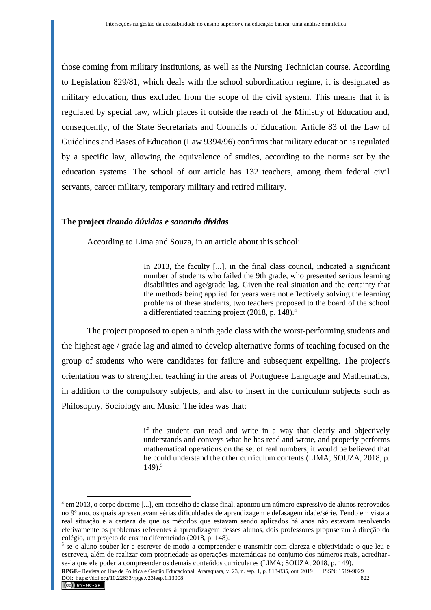those coming from military institutions, as well as the Nursing Technician course. According to Legislation 829/81, which deals with the school subordination regime, it is designated as military education, thus excluded from the scope of the civil system. This means that it is regulated by special law, which places it outside the reach of the Ministry of Education and, consequently, of the State Secretariats and Councils of Education. Article 83 of the Law of Guidelines and Bases of Education (Law 9394/96) confirms that military education is regulated by a specific law, allowing the equivalence of studies, according to the norms set by the education systems. The school of our article has 132 teachers, among them federal civil servants, career military, temporary military and retired military.

## **The project** *tirando dúvidas e sanando dívidas*

According to Lima and Souza, in an article about this school:

In 2013, the faculty [...], in the final class council, indicated a significant number of students who failed the 9th grade, who presented serious learning disabilities and age/grade lag. Given the real situation and the certainty that the methods being applied for years were not effectively solving the learning problems of these students, two teachers proposed to the board of the school a differentiated teaching project (2018, p. 148).<sup>4</sup>

The project proposed to open a ninth gade class with the worst-performing students and the highest age / grade lag and aimed to develop alternative forms of teaching focused on the group of students who were candidates for failure and subsequent expelling. The project's orientation was to strengthen teaching in the areas of Portuguese Language and Mathematics, in addition to the compulsory subjects, and also to insert in the curriculum subjects such as Philosophy, Sociology and Music. The idea was that:

> if the student can read and write in a way that clearly and objectively understands and conveys what he has read and wrote, and properly performs mathematical operations on the set of real numbers, it would be believed that he could understand the other curriculum contents (LIMA; SOUZA, 2018, p.  $149.5$

<sup>4</sup> em 2013, o corpo docente [...], em conselho de classe final, apontou um número expressivo de alunos reprovados no 9º ano, os quais apresentavam sérias dificuldades de aprendizagem e defasagem idade/série. Tendo em vista a real situação e a certeza de que os métodos que estavam sendo aplicados há anos não estavam resolvendo efetivamente os problemas referentes à aprendizagem desses alunos, dois professores propuseram à direção do colégio, um projeto de ensino diferenciado (2018, p. 148).

<sup>5</sup> se o aluno souber ler e escrever de modo a compreender e transmitir com clareza e objetividade o que leu e escreveu, além de realizar com propriedade as operações matemáticas no conjunto dos números reais, acreditarse-ia que ele poderia compreender os demais conteúdos curriculares (LIMA; SOUZA, 2018, p. 149).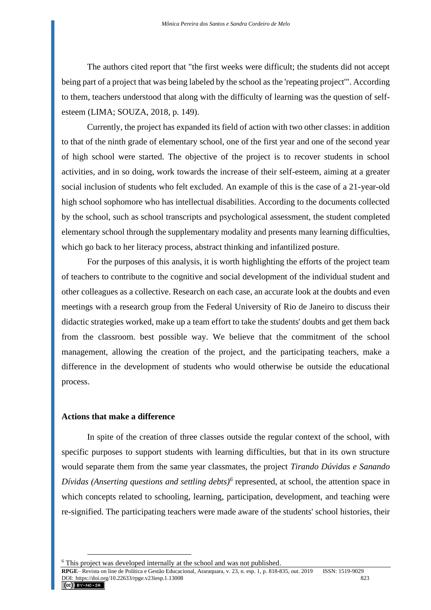The authors cited report that "the first weeks were difficult; the students did not accept being part of a project that was being labeled by the school as the 'repeating project'". According to them, teachers understood that along with the difficulty of learning was the question of selfesteem (LIMA; SOUZA, 2018, p. 149).

Currently, the project has expanded its field of action with two other classes: in addition to that of the ninth grade of elementary school, one of the first year and one of the second year of high school were started. The objective of the project is to recover students in school activities, and in so doing, work towards the increase of their self-esteem, aiming at a greater social inclusion of students who felt excluded. An example of this is the case of a 21-year-old high school sophomore who has intellectual disabilities. According to the documents collected by the school, such as school transcripts and psychological assessment, the student completed elementary school through the supplementary modality and presents many learning difficulties, which go back to her literacy process, abstract thinking and infantilized posture.

For the purposes of this analysis, it is worth highlighting the efforts of the project team of teachers to contribute to the cognitive and social development of the individual student and other colleagues as a collective. Research on each case, an accurate look at the doubts and even meetings with a research group from the Federal University of Rio de Janeiro to discuss their didactic strategies worked, make up a team effort to take the students' doubts and get them back from the classroom. best possible way. We believe that the commitment of the school management, allowing the creation of the project, and the participating teachers, make a difference in the development of students who would otherwise be outside the educational process.

## **Actions that make a difference**

In spite of the creation of three classes outside the regular context of the school, with specific purposes to support students with learning difficulties, but that in its own structure would separate them from the same year classmates, the project *Tirando Dúvidas e Sanando Dívidas (Anserting questions and settling debts)<sup>6</sup>* represented, at school, the attention space in which concepts related to schooling, learning, participation, development, and teaching were re-signified. The participating teachers were made aware of the students' school histories, their

<sup>6</sup> This project was developed internally at the school and was not published.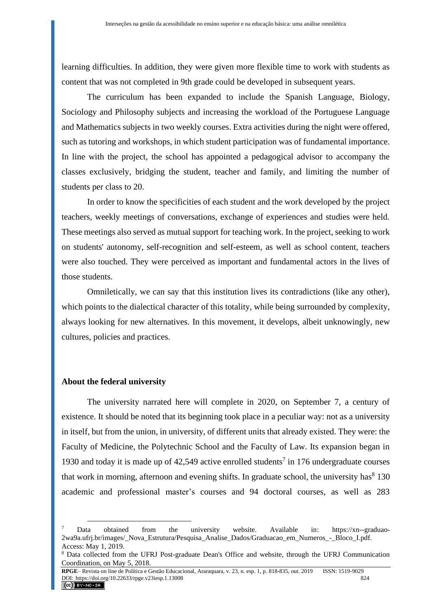learning difficulties. In addition, they were given more flexible time to work with students as content that was not completed in 9th grade could be developed in subsequent years.

The curriculum has been expanded to include the Spanish Language, Biology, Sociology and Philosophy subjects and increasing the workload of the Portuguese Language and Mathematics subjects in two weekly courses. Extra activities during the night were offered, such as tutoring and workshops, in which student participation was of fundamental importance. In line with the project, the school has appointed a pedagogical advisor to accompany the classes exclusively, bridging the student, teacher and family, and limiting the number of students per class to 20.

In order to know the specificities of each student and the work developed by the project teachers, weekly meetings of conversations, exchange of experiences and studies were held. These meetings also served as mutual support for teaching work. In the project, seeking to work on students' autonomy, self-recognition and self-esteem, as well as school content, teachers were also touched. They were perceived as important and fundamental actors in the lives of those students.

Omniletically, we can say that this institution lives its contradictions (like any other), which points to the dialectical character of this totality, while being surrounded by complexity, always looking for new alternatives. In this movement, it develops, albeit unknowingly, new cultures, policies and practices.

#### **About the federal university**

The university narrated here will complete in 2020, on September 7, a century of existence. It should be noted that its beginning took place in a peculiar way: not as a university in itself, but from the union, in university, of different units that already existed. They were: the Faculty of Medicine, the Polytechnic School and the Faculty of Law. Its expansion began in 1930 and today it is made up of  $42,549$  active enrolled students<sup>7</sup> in 176 undergraduate courses that work in morning, afternoon and evening shifts. In graduate school, the university has<sup>8</sup> 130 academic and professional master's courses and 94 doctoral courses, as well as 283

Data obtained from the university website. Available in: [https://xn--graduao-](https://graduação.ufrj.br/images/_Nova_Estrutura/Pesquisa_Analise_Dados/Graduacao_em_Numeros_-_Bloco_I.pdf)[2wa9a.ufrj.br/images/\\_Nova\\_Estrutura/Pesquisa\\_Analise\\_Dados/Graduacao\\_em\\_Numeros\\_-\\_Bloco\\_I.pdf.](https://graduação.ufrj.br/images/_Nova_Estrutura/Pesquisa_Analise_Dados/Graduacao_em_Numeros_-_Bloco_I.pdf) Access: May 1, 2019.

<sup>8</sup> Data collected from the UFRJ Post-graduate Dean's Office and website, through the UFRJ Communication Coordination, on May 5, 2018.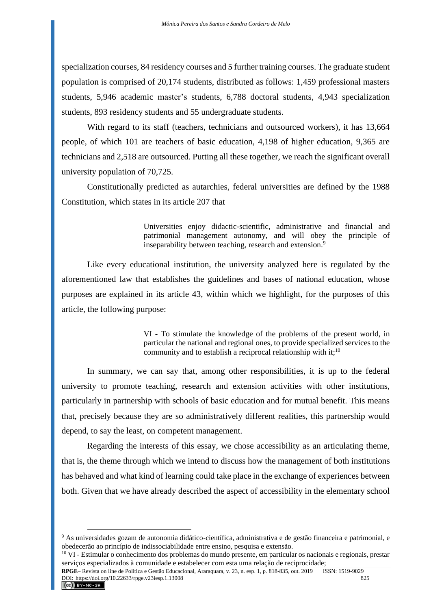specialization courses, 84 residency courses and 5 further training courses. The graduate student population is comprised of 20,174 students, distributed as follows: 1,459 professional masters students, 5,946 academic master's students, 6,788 doctoral students, 4,943 specialization students, 893 residency students and 55 undergraduate students.

With regard to its staff (teachers, technicians and outsourced workers), it has 13,664 people, of which 101 are teachers of basic education, 4,198 of higher education, 9,365 are technicians and 2,518 are outsourced. Putting all these together, we reach the significant overall university population of 70,725.

Constitutionally predicted as autarchies, federal universities are defined by the 1988 Constitution, which states in its article 207 that

> Universities enjoy didactic-scientific, administrative and financial and patrimonial management autonomy, and will obey the principle of inseparability between teaching, research and extension.<sup>9</sup>

Like every educational institution, the university analyzed here is regulated by the aforementioned law that establishes the guidelines and bases of national education, whose purposes are explained in its article 43, within which we highlight, for the purposes of this article, the following purpose:

> VI - To stimulate the knowledge of the problems of the present world, in particular the national and regional ones, to provide specialized services to the community and to establish a reciprocal relationship with it;<sup>10</sup>

In summary, we can say that, among other responsibilities, it is up to the federal university to promote teaching, research and extension activities with other institutions, particularly in partnership with schools of basic education and for mutual benefit. This means that, precisely because they are so administratively different realities, this partnership would depend, to say the least, on competent management.

Regarding the interests of this essay, we chose accessibility as an articulating theme, that is, the theme through which we intend to discuss how the management of both institutions has behaved and what kind of learning could take place in the exchange of experiences between both. Given that we have already described the aspect of accessibility in the elementary school

<sup>9</sup> As universidades gozam de autonomia didático-científica, administrativa e de gestão financeira e patrimonial, e obedecerão ao princípio de indissociabilidade entre ensino, pesquisa e extensão.

<sup>&</sup>lt;sup>10</sup> VI - Estimular o conhecimento dos problemas do mundo presente, em particular os nacionais e regionais, prestar serviços especializados à comunidade e estabelecer com esta uma relação de reciprocidade;

**RPGE**– Revista on line de Política e Gestão Educacional, Araraquara, v. 23, n. esp. 1, p. 818-835, out. 2019 ISSN: 1519-9029 DOI: https://doi.org/10.22633/rpge.v23iesp.1.13008 825<br> **CC** BY-NG-SA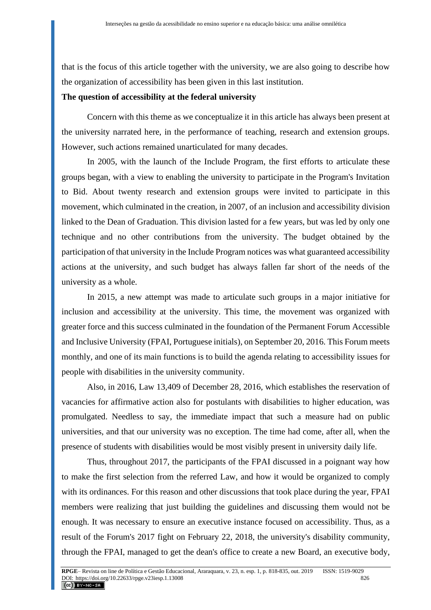that is the focus of this article together with the university, we are also going to describe how the organization of accessibility has been given in this last institution.

## **The question of accessibility at the federal university**

Concern with this theme as we conceptualize it in this article has always been present at the university narrated here, in the performance of teaching, research and extension groups. However, such actions remained unarticulated for many decades.

In 2005, with the launch of the Include Program, the first efforts to articulate these groups began, with a view to enabling the university to participate in the Program's Invitation to Bid. About twenty research and extension groups were invited to participate in this movement, which culminated in the creation, in 2007, of an inclusion and accessibility division linked to the Dean of Graduation. This division lasted for a few years, but was led by only one technique and no other contributions from the university. The budget obtained by the participation of that university in the Include Program notices was what guaranteed accessibility actions at the university, and such budget has always fallen far short of the needs of the university as a whole.

In 2015, a new attempt was made to articulate such groups in a major initiative for inclusion and accessibility at the university. This time, the movement was organized with greater force and this success culminated in the foundation of the Permanent Forum Accessible and Inclusive University (FPAI, Portuguese initials), on September 20, 2016. This Forum meets monthly, and one of its main functions is to build the agenda relating to accessibility issues for people with disabilities in the university community.

Also, in 2016, Law 13,409 of December 28, 2016, which establishes the reservation of vacancies for affirmative action also for postulants with disabilities to higher education, was promulgated. Needless to say, the immediate impact that such a measure had on public universities, and that our university was no exception. The time had come, after all, when the presence of students with disabilities would be most visibly present in university daily life.

Thus, throughout 2017, the participants of the FPAI discussed in a poignant way how to make the first selection from the referred Law, and how it would be organized to comply with its ordinances. For this reason and other discussions that took place during the year, FPAI members were realizing that just building the guidelines and discussing them would not be enough. It was necessary to ensure an executive instance focused on accessibility. Thus, as a result of the Forum's 2017 fight on February 22, 2018, the university's disability community, through the FPAI, managed to get the dean's office to create a new Board, an executive body,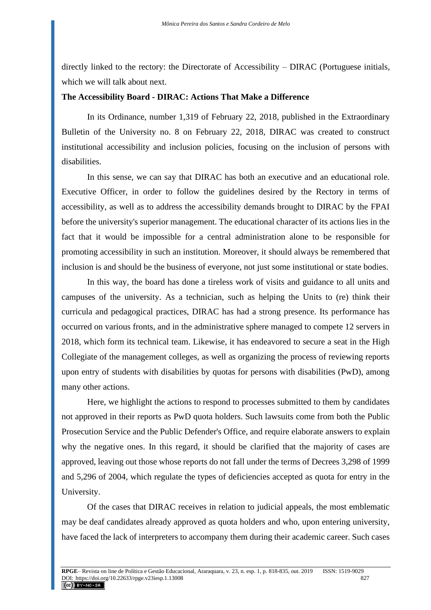directly linked to the rectory: the Directorate of Accessibility – DIRAC (Portuguese initials, which we will talk about next.

## **The Accessibility Board - DIRAC: Actions That Make a Difference**

In its Ordinance, number 1,319 of February 22, 2018, published in the Extraordinary Bulletin of the University no. 8 on February 22, 2018, DIRAC was created to construct institutional accessibility and inclusion policies, focusing on the inclusion of persons with disabilities.

In this sense, we can say that DIRAC has both an executive and an educational role. Executive Officer, in order to follow the guidelines desired by the Rectory in terms of accessibility, as well as to address the accessibility demands brought to DIRAC by the FPAI before the university's superior management. The educational character of its actions lies in the fact that it would be impossible for a central administration alone to be responsible for promoting accessibility in such an institution. Moreover, it should always be remembered that inclusion is and should be the business of everyone, not just some institutional or state bodies.

In this way, the board has done a tireless work of visits and guidance to all units and campuses of the university. As a technician, such as helping the Units to (re) think their curricula and pedagogical practices, DIRAC has had a strong presence. Its performance has occurred on various fronts, and in the administrative sphere managed to compete 12 servers in 2018, which form its technical team. Likewise, it has endeavored to secure a seat in the High Collegiate of the management colleges, as well as organizing the process of reviewing reports upon entry of students with disabilities by quotas for persons with disabilities (PwD), among many other actions.

Here, we highlight the actions to respond to processes submitted to them by candidates not approved in their reports as PwD quota holders. Such lawsuits come from both the Public Prosecution Service and the Public Defender's Office, and require elaborate answers to explain why the negative ones. In this regard, it should be clarified that the majority of cases are approved, leaving out those whose reports do not fall under the terms of Decrees 3,298 of 1999 and 5,296 of 2004, which regulate the types of deficiencies accepted as quota for entry in the University.

Of the cases that DIRAC receives in relation to judicial appeals, the most emblematic may be deaf candidates already approved as quota holders and who, upon entering university, have faced the lack of interpreters to accompany them during their academic career. Such cases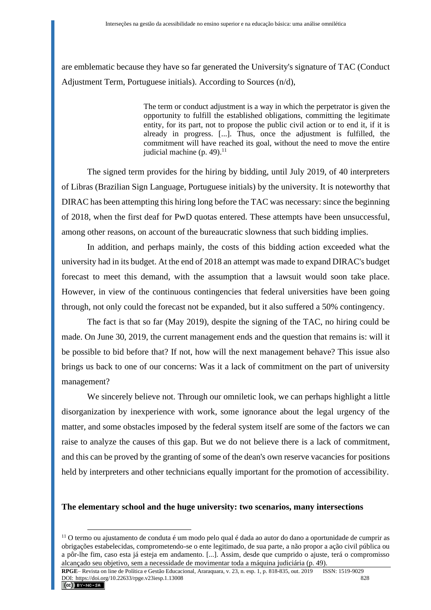are emblematic because they have so far generated the University's signature of TAC (Conduct Adjustment Term, Portuguese initials). According to Sources (n/d),

> The term or conduct adjustment is a way in which the perpetrator is given the opportunity to fulfill the established obligations, committing the legitimate entity, for its part, not to propose the public civil action or to end it, if it is already in progress. [...]. Thus, once the adjustment is fulfilled, the commitment will have reached its goal, without the need to move the entire judicial machine  $(p. 49).$ <sup>11</sup>

The signed term provides for the hiring by bidding, until July 2019, of 40 interpreters of Libras (Brazilian Sign Language, Portuguese initials) by the university. It is noteworthy that DIRAC has been attempting this hiring long before the TAC was necessary: since the beginning of 2018, when the first deaf for PwD quotas entered. These attempts have been unsuccessful, among other reasons, on account of the bureaucratic slowness that such bidding implies.

In addition, and perhaps mainly, the costs of this bidding action exceeded what the university had in its budget. At the end of 2018 an attempt was made to expand DIRAC's budget forecast to meet this demand, with the assumption that a lawsuit would soon take place. However, in view of the continuous contingencies that federal universities have been going through, not only could the forecast not be expanded, but it also suffered a 50% contingency.

The fact is that so far (May 2019), despite the signing of the TAC, no hiring could be made. On June 30, 2019, the current management ends and the question that remains is: will it be possible to bid before that? If not, how will the next management behave? This issue also brings us back to one of our concerns: Was it a lack of commitment on the part of university management?

We sincerely believe not. Through our omniletic look, we can perhaps highlight a little disorganization by inexperience with work, some ignorance about the legal urgency of the matter, and some obstacles imposed by the federal system itself are some of the factors we can raise to analyze the causes of this gap. But we do not believe there is a lack of commitment, and this can be proved by the granting of some of the dean's own reserve vacancies for positions held by interpreters and other technicians equally important for the promotion of accessibility.

## **The elementary school and the huge university: two scenarios, many intersections**

<sup>11</sup> O termo ou ajustamento de conduta é um modo pelo qual é dada ao autor do dano a oportunidade de cumprir as obrigações estabelecidas, comprometendo-se o ente legitimado, de sua parte, a não propor a ação civil pública ou a pôr-lhe fim, caso esta já esteja em andamento. [...]. Assim, desde que cumprido o ajuste, terá o compromisso alcançado seu objetivo, sem a necessidade de movimentar toda a máquina judiciária (p. 49).

**RPGE**– Revista on line de Política e Gestão Educacional, Araraquara, v. 23, n. esp. 1, p. 818-835, out. 2019 ISSN: 1519-9029 DOI: https://doi.org/10.22633/rpge.v23iesp.1.13008 828<br> **CC** BY-NG-58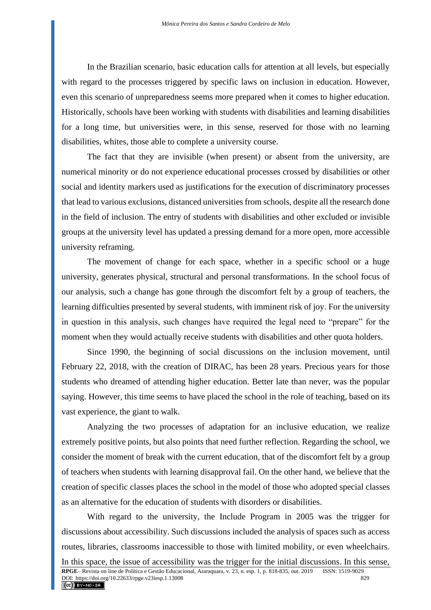In the Brazilian scenario, basic education calls for attention at all levels, but especially with regard to the processes triggered by specific laws on inclusion in education. However, even this scenario of unpreparedness seems more prepared when it comes to higher education. Historically, schools have been working with students with disabilities and learning disabilities for a long time, but universities were, in this sense, reserved for those with no learning disabilities, whites, those able to complete a university course.

The fact that they are invisible (when present) or absent from the university, are numerical minority or do not experience educational processes crossed by disabilities or other social and identity markers used as justifications for the execution of discriminatory processes that lead to various exclusions, distanced universities from schools, despite all the research done in the field of inclusion. The entry of students with disabilities and other excluded or invisible groups at the university level has updated a pressing demand for a more open, more accessible university reframing.

The movement of change for each space, whether in a specific school or a huge university, generates physical, structural and personal transformations. In the school focus of our analysis, such a change has gone through the discomfort felt by a group of teachers, the learning difficulties presented by several students, with imminent risk of joy. For the university in question in this analysis, such changes have required the legal need to "prepare" for the moment when they would actually receive students with disabilities and other quota holders.

Since 1990, the beginning of social discussions on the inclusion movement, until February 22, 2018, with the creation of DIRAC, has been 28 years. Precious years for those students who dreamed of attending higher education. Better late than never, was the popular saying. However, this time seems to have placed the school in the role of teaching, based on its vast experience, the giant to walk.

Analyzing the two processes of adaptation for an inclusive education, we realize extremely positive points, but also points that need further reflection. Regarding the school, we consider the moment of break with the current education, that of the discomfort felt by a group of teachers when students with learning disapproval fail. On the other hand, we believe that the creation of specific classes places the school in the model of those who adopted special classes as an alternative for the education of students with disorders or disabilities.

With regard to the university, the Include Program in 2005 was the trigger for discussions about accessibility. Such discussions included the analysis of spaces such as access routes, libraries, classrooms inaccessible to those with limited mobility, or even wheelchairs.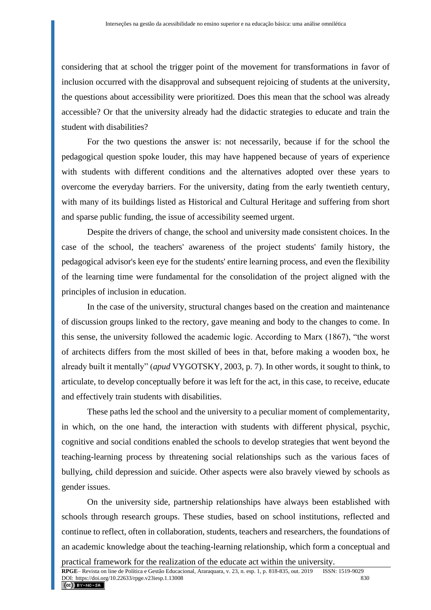considering that at school the trigger point of the movement for transformations in favor of inclusion occurred with the disapproval and subsequent rejoicing of students at the university, the questions about accessibility were prioritized. Does this mean that the school was already accessible? Or that the university already had the didactic strategies to educate and train the student with disabilities?

For the two questions the answer is: not necessarily, because if for the school the pedagogical question spoke louder, this may have happened because of years of experience with students with different conditions and the alternatives adopted over these years to overcome the everyday barriers. For the university, dating from the early twentieth century, with many of its buildings listed as Historical and Cultural Heritage and suffering from short and sparse public funding, the issue of accessibility seemed urgent.

Despite the drivers of change, the school and university made consistent choices. In the case of the school, the teachers' awareness of the project students' family history, the pedagogical advisor's keen eye for the students' entire learning process, and even the flexibility of the learning time were fundamental for the consolidation of the project aligned with the principles of inclusion in education.

In the case of the university, structural changes based on the creation and maintenance of discussion groups linked to the rectory, gave meaning and body to the changes to come. In this sense, the university followed the academic logic. According to Marx (1867), "the worst of architects differs from the most skilled of bees in that, before making a wooden box, he already built it mentally" (*apud* VYGOTSKY, 2003, p. 7). In other words, it sought to think, to articulate, to develop conceptually before it was left for the act, in this case, to receive, educate and effectively train students with disabilities.

These paths led the school and the university to a peculiar moment of complementarity, in which, on the one hand, the interaction with students with different physical, psychic, cognitive and social conditions enabled the schools to develop strategies that went beyond the teaching-learning process by threatening social relationships such as the various faces of bullying, child depression and suicide. Other aspects were also bravely viewed by schools as gender issues.

On the university side, partnership relationships have always been established with schools through research groups. These studies, based on school institutions, reflected and continue to reflect, often in collaboration, students, teachers and researchers, the foundations of an academic knowledge about the teaching-learning relationship, which form a conceptual and

practical framework for the realization of the educate act within the university.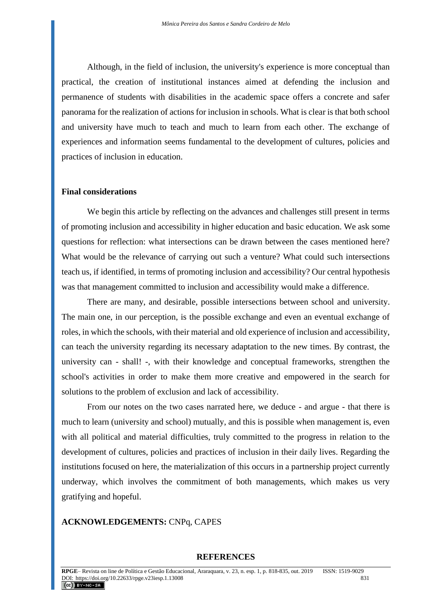Although, in the field of inclusion, the university's experience is more conceptual than practical, the creation of institutional instances aimed at defending the inclusion and permanence of students with disabilities in the academic space offers a concrete and safer panorama for the realization of actions for inclusion in schools. What is clear is that both school and university have much to teach and much to learn from each other. The exchange of experiences and information seems fundamental to the development of cultures, policies and practices of inclusion in education.

#### **Final considerations**

We begin this article by reflecting on the advances and challenges still present in terms of promoting inclusion and accessibility in higher education and basic education. We ask some questions for reflection: what intersections can be drawn between the cases mentioned here? What would be the relevance of carrying out such a venture? What could such intersections teach us, if identified, in terms of promoting inclusion and accessibility? Our central hypothesis was that management committed to inclusion and accessibility would make a difference.

There are many, and desirable, possible intersections between school and university. The main one, in our perception, is the possible exchange and even an eventual exchange of roles, in which the schools, with their material and old experience of inclusion and accessibility, can teach the university regarding its necessary adaptation to the new times. By contrast, the university can - shall! -, with their knowledge and conceptual frameworks, strengthen the school's activities in order to make them more creative and empowered in the search for solutions to the problem of exclusion and lack of accessibility.

From our notes on the two cases narrated here, we deduce - and argue - that there is much to learn (university and school) mutually, and this is possible when management is, even with all political and material difficulties, truly committed to the progress in relation to the development of cultures, policies and practices of inclusion in their daily lives. Regarding the institutions focused on here, the materialization of this occurs in a partnership project currently underway, which involves the commitment of both managements, which makes us very gratifying and hopeful.

## **ACKNOWLEDGEMENTS:** CNPq, CAPES

#### **REFERENCES**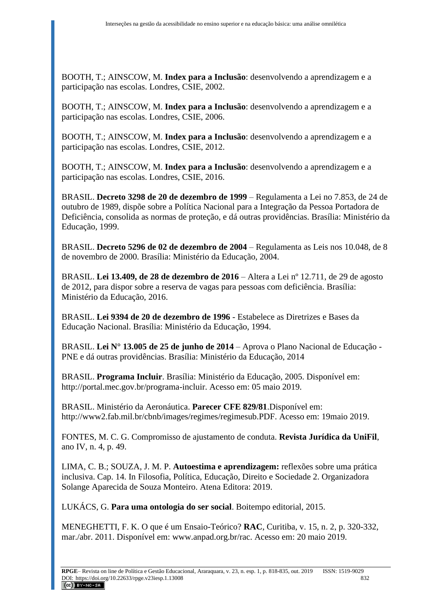BOOTH, T.; AINSCOW, M. **Index para a Inclusão**: desenvolvendo a aprendizagem e a participação nas escolas. Londres, CSIE, 2002.

BOOTH, T.; AINSCOW, M. **Index para a Inclusão**: desenvolvendo a aprendizagem e a participação nas escolas. Londres, CSIE, 2006.

BOOTH, T.; AINSCOW, M. **Index para a Inclusão**: desenvolvendo a aprendizagem e a participação nas escolas. Londres, CSIE, 2012.

BOOTH, T.; AINSCOW, M. **Index para a Inclusão**: desenvolvendo a aprendizagem e a participação nas escolas. Londres, CSIE, 2016.

BRASIL. **Decreto 3298 de 20 de dezembro de 1999** – Regulamenta a Lei no 7.853, de 24 de outubro de 1989, dispõe sobre a Política Nacional para a Integração da Pessoa Portadora de Deficiência, consolida as normas de proteção, e dá outras providências. Brasília: Ministério da Educação, 1999.

BRASIL. **Decreto 5296 de 02 de dezembro de 2004** – Regulamenta as Leis nos 10.048, de 8 de novembro de 2000. Brasília: Ministério da Educação, 2004.

BRASIL. **Lei 13.409, de 28 de dezembro de 2016** – Altera a Lei nº 12.711, de 29 de agosto de 2012, para dispor sobre a reserva de vagas para pessoas com deficiência. Brasília: Ministério da Educação, 2016.

BRASIL. **Lei 9394 de 20 de dezembro de 1996** - Estabelece as Diretrizes e Bases da Educação Nacional. Brasília: Ministério da Educação, 1994.

BRASIL. **Lei N° 13.005 de 25 de junho de 2014** – Aprova o Plano Nacional de Educação - PNE e dá outras providências. Brasília: Ministério da Educação, 2014

BRASIL. **Programa Incluir**. Brasília: Ministério da Educação, 2005. Disponível em: http://portal.mec.gov.br/programa-incluir. Acesso em: 05 maio 2019.

BRASIL. Ministério da Aeronáutica. **Parecer CFE 829/81**.Disponível em: [http://www2.fab.mil.br/cbnb/images/regimes/regimesub.PDF.](http://www2.fab.mil.br/cbnb/images/regimes/regimesub.PDF) Acesso em: 19maio 2019.

FONTES, M. C. G. Compromisso de ajustamento de conduta. **Revista Jurídica da UniFil**, ano IV, n. 4, p. 49.

LIMA, C. B.; SOUZA, J. M. P. **Autoestima e aprendizagem:** reflexões sobre uma prática inclusiva. Cap. 14. In Filosofia, Política, Educação, Direito e Sociedade 2. Organizadora Solange Aparecida de Souza Monteiro. Atena Editora: 2019.

LUKÁCS, G. **Para uma ontologia do ser social**. Boitempo editorial, 2015.

MENEGHETTI, F. K. O que é um Ensaio-Teórico? **RAC**, Curitiba, v. 15, n. 2, p. 320-332, mar./abr. 2011. Disponível em: [www.anpad.org.br/rac.](http://www.anpad.org.br/rac) Acesso em: 20 maio 2019.